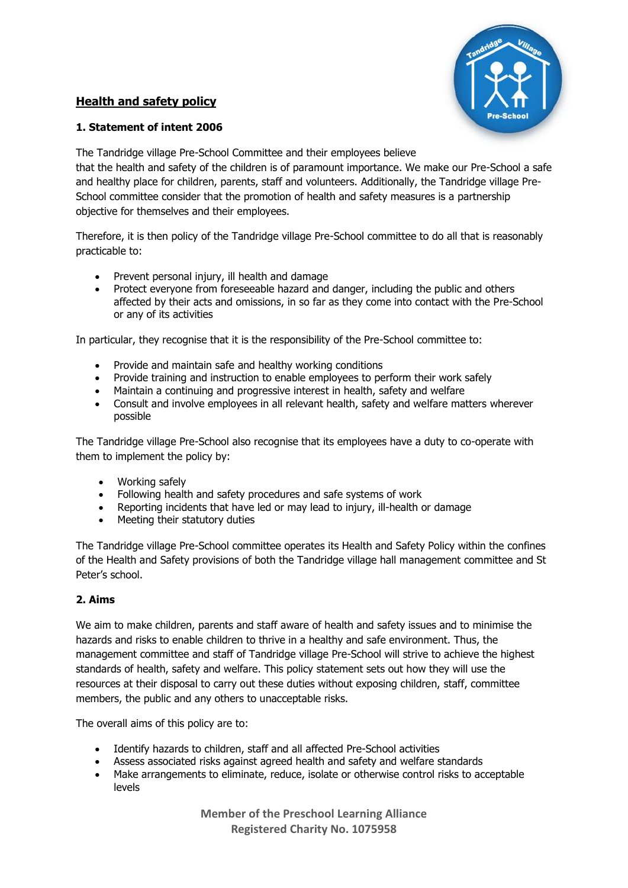# **Health and safety policy**



# **1. Statement of intent 2006**

The Tandridge village Pre-School Committee and their employees believe that the health and safety of the children is of paramount importance. We make our Pre-School a safe and healthy place for children, parents, staff and volunteers. Additionally, the Tandridge village Pre-School committee consider that the promotion of health and safety measures is a partnership objective for themselves and their employees.

Therefore, it is then policy of the Tandridge village Pre-School committee to do all that is reasonably practicable to:

- Prevent personal injury, ill health and damage
- Protect everyone from foreseeable hazard and danger, including the public and others affected by their acts and omissions, in so far as they come into contact with the Pre-School or any of its activities

In particular, they recognise that it is the responsibility of the Pre-School committee to:

- Provide and maintain safe and healthy working conditions
- Provide training and instruction to enable employees to perform their work safely
- Maintain a continuing and progressive interest in health, safety and welfare
- Consult and involve employees in all relevant health, safety and welfare matters wherever possible

The Tandridge village Pre-School also recognise that its employees have a duty to co-operate with them to implement the policy by:

- Working safely
- Following health and safety procedures and safe systems of work
- Reporting incidents that have led or may lead to injury, ill-health or damage
- Meeting their statutory duties

The Tandridge village Pre-School committee operates its Health and Safety Policy within the confines of the Health and Safety provisions of both the Tandridge village hall management committee and St Peter's school.

# **2. Aims**

We aim to make children, parents and staff aware of health and safety issues and to minimise the hazards and risks to enable children to thrive in a healthy and safe environment. Thus, the management committee and staff of Tandridge village Pre-School will strive to achieve the highest standards of health, safety and welfare. This policy statement sets out how they will use the resources at their disposal to carry out these duties without exposing children, staff, committee members, the public and any others to unacceptable risks.

The overall aims of this policy are to:

- Identify hazards to children, staff and all affected Pre-School activities
- Assess associated risks against agreed health and safety and welfare standards
- Make arrangements to eliminate, reduce, isolate or otherwise control risks to acceptable levels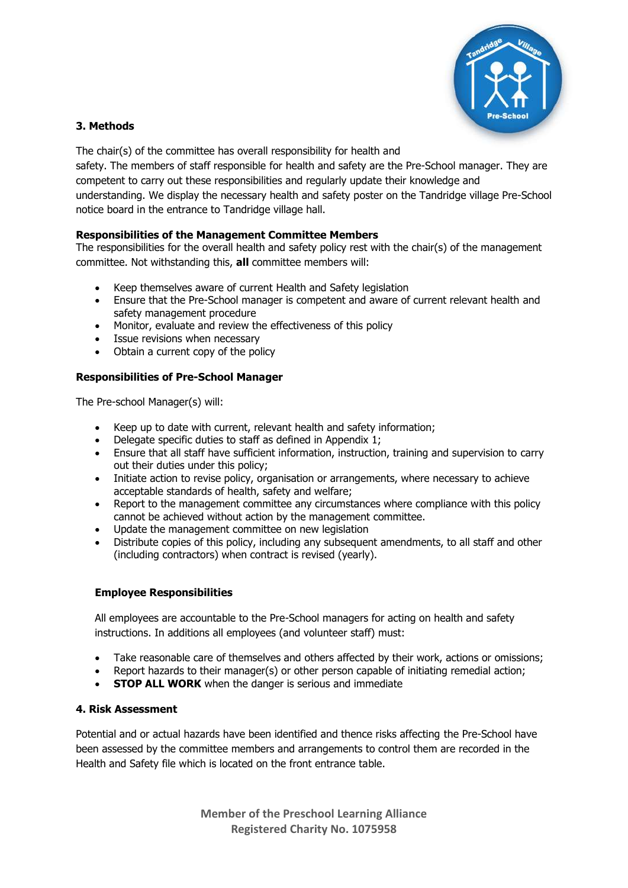

## **3. Methods**

The chair(s) of the committee has overall responsibility for health and safety. The members of staff responsible for health and safety are the Pre-School manager. They are competent to carry out these responsibilities and regularly update their knowledge and understanding. We display the necessary health and safety poster on the Tandridge village Pre-School notice board in the entrance to Tandridge village hall.

# **Responsibilities of the Management Committee Members**

The responsibilities for the overall health and safety policy rest with the chair(s) of the management committee. Not withstanding this, **all** committee members will:

- Keep themselves aware of current Health and Safety legislation
- Ensure that the Pre-School manager is competent and aware of current relevant health and safety management procedure
- Monitor, evaluate and review the effectiveness of this policy
- Issue revisions when necessary
- Obtain a current copy of the policy

# **Responsibilities of Pre-School Manager**

The Pre-school Manager(s) will:

- Keep up to date with current, relevant health and safety information;
- Delegate specific duties to staff as defined in Appendix 1;
- Ensure that all staff have sufficient information, instruction, training and supervision to carry out their duties under this policy;
- Initiate action to revise policy, organisation or arrangements, where necessary to achieve acceptable standards of health, safety and welfare;
- Report to the management committee any circumstances where compliance with this policy cannot be achieved without action by the management committee.
- Update the management committee on new legislation
- Distribute copies of this policy, including any subsequent amendments, to all staff and other (including contractors) when contract is revised (yearly).

# **Employee Responsibilities**

All employees are accountable to the Pre-School managers for acting on health and safety instructions. In additions all employees (and volunteer staff) must:

- Take reasonable care of themselves and others affected by their work, actions or omissions;
- Report hazards to their manager(s) or other person capable of initiating remedial action;
- **STOP ALL WORK** when the danger is serious and immediate

### **4. Risk Assessment**

Potential and or actual hazards have been identified and thence risks affecting the Pre-School have been assessed by the committee members and arrangements to control them are recorded in the Health and Safety file which is located on the front entrance table.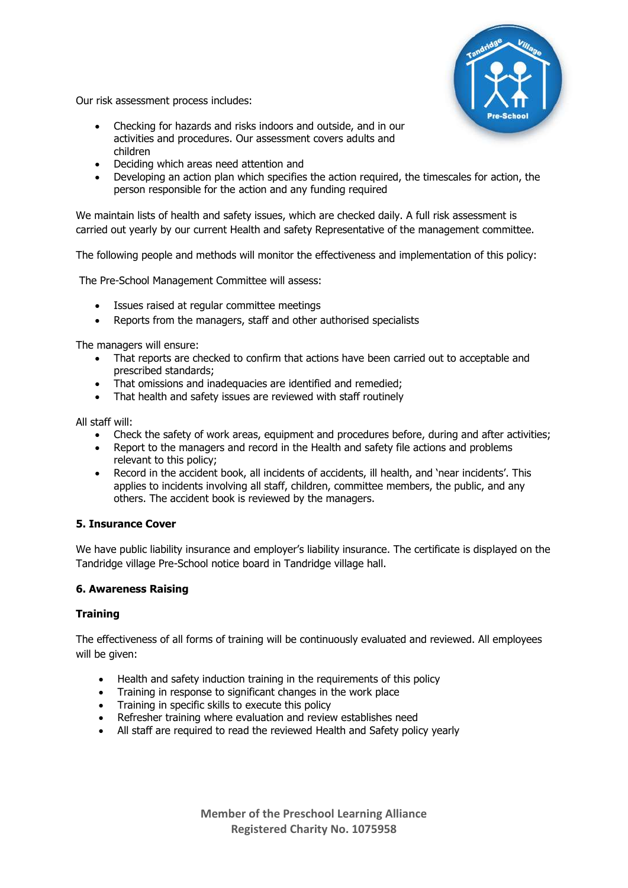

Our risk assessment process includes:

- Checking for hazards and risks indoors and outside, and in our activities and procedures. Our assessment covers adults and children
- Deciding which areas need attention and
- Developing an action plan which specifies the action required, the timescales for action, the person responsible for the action and any funding required

We maintain lists of health and safety issues, which are checked daily. A full risk assessment is carried out yearly by our current Health and safety Representative of the management committee.

The following people and methods will monitor the effectiveness and implementation of this policy:

The Pre-School Management Committee will assess:

- Issues raised at regular committee meetings
- Reports from the managers, staff and other authorised specialists

The managers will ensure:

- That reports are checked to confirm that actions have been carried out to acceptable and prescribed standards;
- That omissions and inadequacies are identified and remedied;
- That health and safety issues are reviewed with staff routinely

All staff will:

- Check the safety of work areas, equipment and procedures before, during and after activities;
- Report to the managers and record in the Health and safety file actions and problems relevant to this policy;
- Record in the accident book, all incidents of accidents, ill health, and 'near incidents'. This applies to incidents involving all staff, children, committee members, the public, and any others. The accident book is reviewed by the managers.

# **5. Insurance Cover**

We have public liability insurance and employer's liability insurance. The certificate is displayed on the Tandridge village Pre-School notice board in Tandridge village hall.

# **6. Awareness Raising**

### **Training**

The effectiveness of all forms of training will be continuously evaluated and reviewed. All employees will be given:

- Health and safety induction training in the requirements of this policy
- Training in response to significant changes in the work place
- Training in specific skills to execute this policy
- Refresher training where evaluation and review establishes need
- All staff are required to read the reviewed Health and Safety policy yearly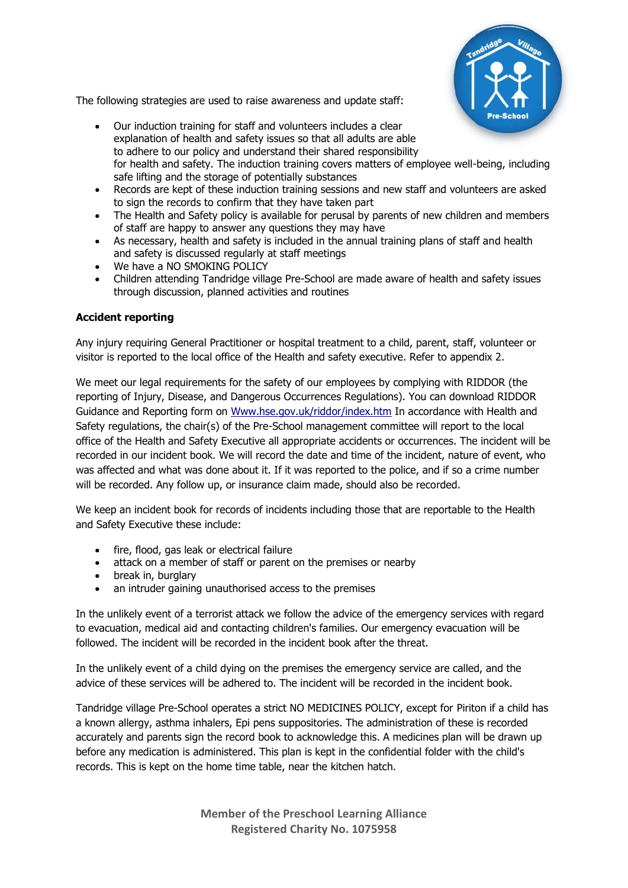

The following strategies are used to raise awareness and update staff:

- Our induction training for staff and volunteers includes a clear explanation of health and safety issues so that all adults are able to adhere to our policy and understand their shared responsibility for health and safety. The induction training covers matters of employee well-being, including safe lifting and the storage of potentially substances
- Records are kept of these induction training sessions and new staff and volunteers are asked to sign the records to confirm that they have taken part
- The Health and Safety policy is available for perusal by parents of new children and members of staff are happy to answer any questions they may have
- As necessary, health and safety is included in the annual training plans of staff and health and safety is discussed regularly at staff meetings
- We have a NO SMOKING POLICY
- Children attending Tandridge village Pre-School are made aware of health and safety issues through discussion, planned activities and routines

# **Accident reporting**

Any injury requiring General Practitioner or hospital treatment to a child, parent, staff, volunteer or visitor is reported to the local office of the Health and safety executive. Refer to appendix 2.

We meet our legal requirements for the safety of our employees by complying with RIDDOR (the reporting of Injury, Disease, and Dangerous Occurrences Regulations). You can download RIDDOR Guidance and Reporting form on [Www.hse.gov.uk/riddor/index.htm](http://www.hse.gov.uk/riddor/index.htm) In accordance with Health and Safety regulations, the chair(s) of the Pre-School management committee will report to the local office of the Health and Safety Executive all appropriate accidents or occurrences. The incident will be recorded in our incident book. We will record the date and time of the incident, nature of event, who was affected and what was done about it. If it was reported to the police, and if so a crime number will be recorded. Any follow up, or insurance claim made, should also be recorded.

We keep an incident book for records of incidents including those that are reportable to the Health and Safety Executive these include:

- fire, flood, gas leak or electrical failure
- attack on a member of staff or parent on the premises or nearby
- break in, burglary
- an intruder gaining unauthorised access to the premises

In the unlikely event of a terrorist attack we follow the advice of the emergency services with regard to evacuation, medical aid and contacting children's families. Our emergency evacuation will be followed. The incident will be recorded in the incident book after the threat.

In the unlikely event of a child dying on the premises the emergency service are called, and the advice of these services will be adhered to. The incident will be recorded in the incident book.

Tandridge village Pre-School operates a strict NO MEDICINES POLICY, except for Piriton if a child has a known allergy, asthma inhalers, Epi pens suppositories. The administration of these is recorded accurately and parents sign the record book to acknowledge this. A medicines plan will be drawn up before any medication is administered. This plan is kept in the confidential folder with the child's records. This is kept on the home time table, near the kitchen hatch.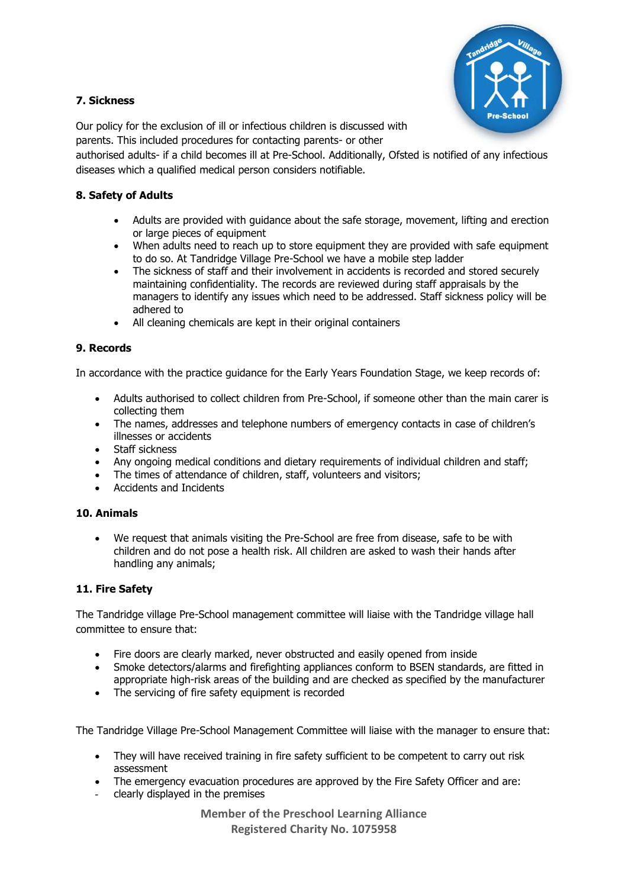

# **7. Sickness**

Our policy for the exclusion of ill or infectious children is discussed with parents. This included procedures for contacting parents- or other

authorised adults- if a child becomes ill at Pre-School. Additionally, Ofsted is notified of any infectious diseases which a qualified medical person considers notifiable.

# **8. Safety of Adults**

- Adults are provided with guidance about the safe storage, movement, lifting and erection or large pieces of equipment
- When adults need to reach up to store equipment they are provided with safe equipment to do so. At Tandridge Village Pre-School we have a mobile step ladder
- The sickness of staff and their involvement in accidents is recorded and stored securely maintaining confidentiality. The records are reviewed during staff appraisals by the managers to identify any issues which need to be addressed. Staff sickness policy will be adhered to
- All cleaning chemicals are kept in their original containers

# **9. Records**

In accordance with the practice guidance for the Early Years Foundation Stage, we keep records of:

- Adults authorised to collect children from Pre-School, if someone other than the main carer is collecting them
- The names, addresses and telephone numbers of emergency contacts in case of children's illnesses or accidents
- Staff sickness
- Any ongoing medical conditions and dietary requirements of individual children and staff;
- The times of attendance of children, staff, volunteers and visitors;
- Accidents and Incidents

# **10. Animals**

• We request that animals visiting the Pre-School are free from disease, safe to be with children and do not pose a health risk. All children are asked to wash their hands after handling any animals;

# **11. Fire Safety**

The Tandridge village Pre-School management committee will liaise with the Tandridge village hall committee to ensure that:

- Fire doors are clearly marked, never obstructed and easily opened from inside
- Smoke detectors/alarms and firefighting appliances conform to BSEN standards, are fitted in appropriate high-risk areas of the building and are checked as specified by the manufacturer
- The servicing of fire safety equipment is recorded

The Tandridge Village Pre-School Management Committee will liaise with the manager to ensure that:

- They will have received training in fire safety sufficient to be competent to carry out risk assessment
- The emergency evacuation procedures are approved by the Fire Safety Officer and are:
- clearly displayed in the premises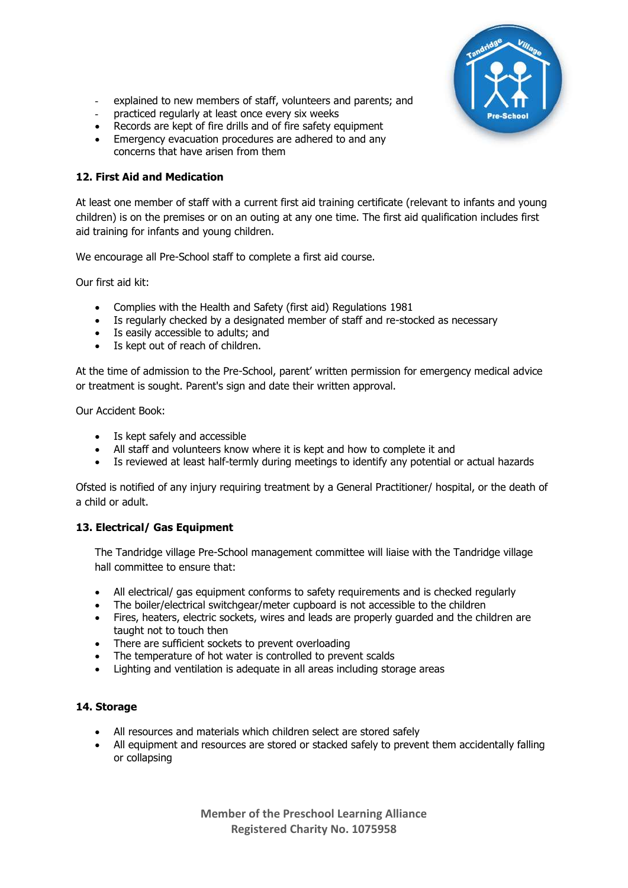

- explained to new members of staff, volunteers and parents; and
- practiced regularly at least once every six weeks
- Records are kept of fire drills and of fire safety equipment
- Emergency evacuation procedures are adhered to and any concerns that have arisen from them

## **12. First Aid and Medication**

At least one member of staff with a current first aid training certificate (relevant to infants and young children) is on the premises or on an outing at any one time. The first aid qualification includes first aid training for infants and young children.

We encourage all Pre-School staff to complete a first aid course.

Our first aid kit:

- Complies with the Health and Safety (first aid) Regulations 1981
- Is regularly checked by a designated member of staff and re-stocked as necessary
- Is easily accessible to adults; and
- Is kept out of reach of children.

At the time of admission to the Pre-School, parent' written permission for emergency medical advice or treatment is sought. Parent's sign and date their written approval.

Our Accident Book:

- Is kept safely and accessible
- All staff and volunteers know where it is kept and how to complete it and
- Is reviewed at least half-termly during meetings to identify any potential or actual hazards

Ofsted is notified of any injury requiring treatment by a General Practitioner/ hospital, or the death of a child or adult.

# **13. Electrical/ Gas Equipment**

The Tandridge village Pre-School management committee will liaise with the Tandridge village hall committee to ensure that:

- All electrical/ gas equipment conforms to safety requirements and is checked regularly
- The boiler/electrical switchgear/meter cupboard is not accessible to the children
- Fires, heaters, electric sockets, wires and leads are properly quarded and the children are taught not to touch then
- There are sufficient sockets to prevent overloading
- The temperature of hot water is controlled to prevent scalds
- Lighting and ventilation is adequate in all areas including storage areas

### **14. Storage**

- All resources and materials which children select are stored safely
- All equipment and resources are stored or stacked safely to prevent them accidentally falling or collapsing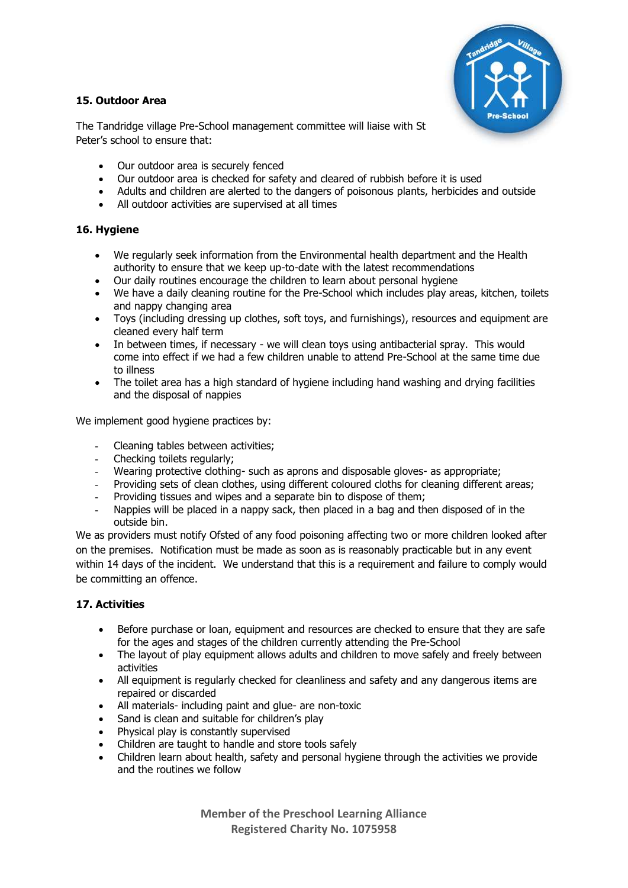# **15. Outdoor Area**



The Tandridge village Pre-School management committee will liaise with St Peter's school to ensure that:

- Our outdoor area is securely fenced
- Our outdoor area is checked for safety and cleared of rubbish before it is used
- Adults and children are alerted to the dangers of poisonous plants, herbicides and outside
- All outdoor activities are supervised at all times

## **16. Hygiene**

- We regularly seek information from the Environmental health department and the Health authority to ensure that we keep up-to-date with the latest recommendations
- Our daily routines encourage the children to learn about personal hygiene
- We have a daily cleaning routine for the Pre-School which includes play areas, kitchen, toilets and nappy changing area
- Toys (including dressing up clothes, soft toys, and furnishings), resources and equipment are cleaned every half term
- In between times, if necessary we will clean toys using antibacterial spray. This would come into effect if we had a few children unable to attend Pre-School at the same time due to illness
- The toilet area has a high standard of hygiene including hand washing and drying facilities and the disposal of nappies

We implement good hygiene practices by:

- Cleaning tables between activities;
- Checking toilets regularly:
- Wearing protective clothing- such as aprons and disposable gloves- as appropriate;
- Providing sets of clean clothes, using different coloured cloths for cleaning different areas;
- Providing tissues and wipes and a separate bin to dispose of them;
- Nappies will be placed in a nappy sack, then placed in a bag and then disposed of in the outside bin.

We as providers must notify Ofsted of any food poisoning affecting two or more children looked after on the premises. Notification must be made as soon as is reasonably practicable but in any event within 14 days of the incident. We understand that this is a requirement and failure to comply would be committing an offence.

### **17. Activities**

- Before purchase or loan, equipment and resources are checked to ensure that they are safe for the ages and stages of the children currently attending the Pre-School
- The layout of play equipment allows adults and children to move safely and freely between activities
- All equipment is regularly checked for cleanliness and safety and any dangerous items are repaired or discarded
- All materials- including paint and glue- are non-toxic
- Sand is clean and suitable for children's play
- Physical play is constantly supervised
- Children are taught to handle and store tools safely
- Children learn about health, safety and personal hygiene through the activities we provide and the routines we follow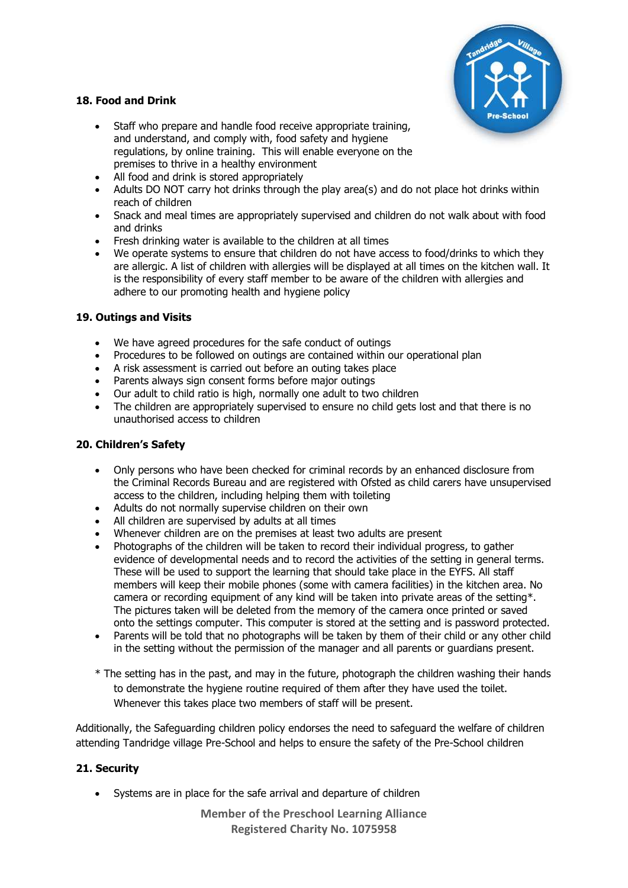

# **18. Food and Drink**

- Staff who prepare and handle food receive appropriate training, and understand, and comply with, food safety and hygiene regulations, by online training. This will enable everyone on the premises to thrive in a healthy environment
- All food and drink is stored appropriately
- Adults DO NOT carry hot drinks through the play area(s) and do not place hot drinks within reach of children
- Snack and meal times are appropriately supervised and children do not walk about with food and drinks
- Fresh drinking water is available to the children at all times
- We operate systems to ensure that children do not have access to food/drinks to which they are allergic. A list of children with allergies will be displayed at all times on the kitchen wall. It is the responsibility of every staff member to be aware of the children with allergies and adhere to our promoting health and hygiene policy

# **19. Outings and Visits**

- We have agreed procedures for the safe conduct of outings
- Procedures to be followed on outings are contained within our operational plan
- A risk assessment is carried out before an outing takes place
- Parents always sign consent forms before major outings
- Our adult to child ratio is high, normally one adult to two children
- The children are appropriately supervised to ensure no child gets lost and that there is no unauthorised access to children

# **20. Children's Safety**

- Only persons who have been checked for criminal records by an enhanced disclosure from the Criminal Records Bureau and are registered with Ofsted as child carers have unsupervised access to the children, including helping them with toileting
- Adults do not normally supervise children on their own
- All children are supervised by adults at all times
- Whenever children are on the premises at least two adults are present
- Photographs of the children will be taken to record their individual progress, to gather evidence of developmental needs and to record the activities of the setting in general terms. These will be used to support the learning that should take place in the EYFS. All staff members will keep their mobile phones (some with camera facilities) in the kitchen area. No camera or recording equipment of any kind will be taken into private areas of the setting\*. The pictures taken will be deleted from the memory of the camera once printed or saved onto the settings computer. This computer is stored at the setting and is password protected.
- Parents will be told that no photographs will be taken by them of their child or any other child in the setting without the permission of the manager and all parents or guardians present.
- \* The setting has in the past, and may in the future, photograph the children washing their hands to demonstrate the hygiene routine required of them after they have used the toilet. Whenever this takes place two members of staff will be present.

Additionally, the Safeguarding children policy endorses the need to safeguard the welfare of children attending Tandridge village Pre-School and helps to ensure the safety of the Pre-School children

# **21. Security**

• Systems are in place for the safe arrival and departure of children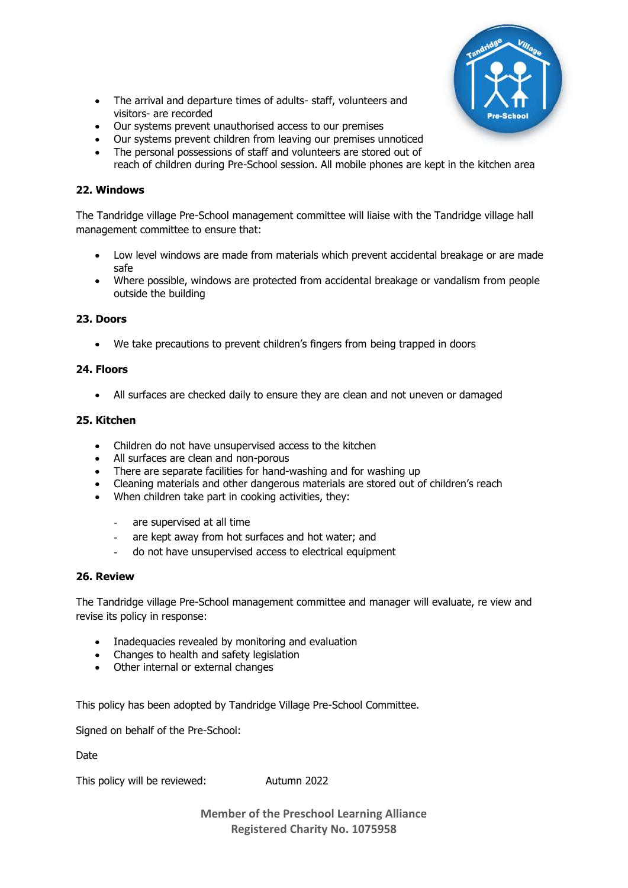

- The arrival and departure times of adults- staff, volunteers and visitors- are recorded
- Our systems prevent unauthorised access to our premises
- Our systems prevent children from leaving our premises unnoticed
- The personal possessions of staff and volunteers are stored out of reach of children during Pre-School session. All mobile phones are kept in the kitchen area

### **22. Windows**

The Tandridge village Pre-School management committee will liaise with the Tandridge village hall management committee to ensure that:

- Low level windows are made from materials which prevent accidental breakage or are made safe
- Where possible, windows are protected from accidental breakage or vandalism from people outside the building

## **23. Doors**

• We take precautions to prevent children's fingers from being trapped in doors

### **24. Floors**

• All surfaces are checked daily to ensure they are clean and not uneven or damaged

#### **25. Kitchen**

- Children do not have unsupervised access to the kitchen
- All surfaces are clean and non-porous
- There are separate facilities for hand-washing and for washing up
- Cleaning materials and other dangerous materials are stored out of children's reach
- When children take part in cooking activities, they:
	- are supervised at all time
	- are kept away from hot surfaces and hot water; and
	- do not have unsupervised access to electrical equipment

### **26. Review**

The Tandridge village Pre-School management committee and manager will evaluate, re view and revise its policy in response:

- Inadequacies revealed by monitoring and evaluation
- Changes to health and safety legislation
- Other internal or external changes

This policy has been adopted by Tandridge Village Pre-School Committee.

Signed on behalf of the Pre-School:

Date

This policy will be reviewed: Autumn 2022